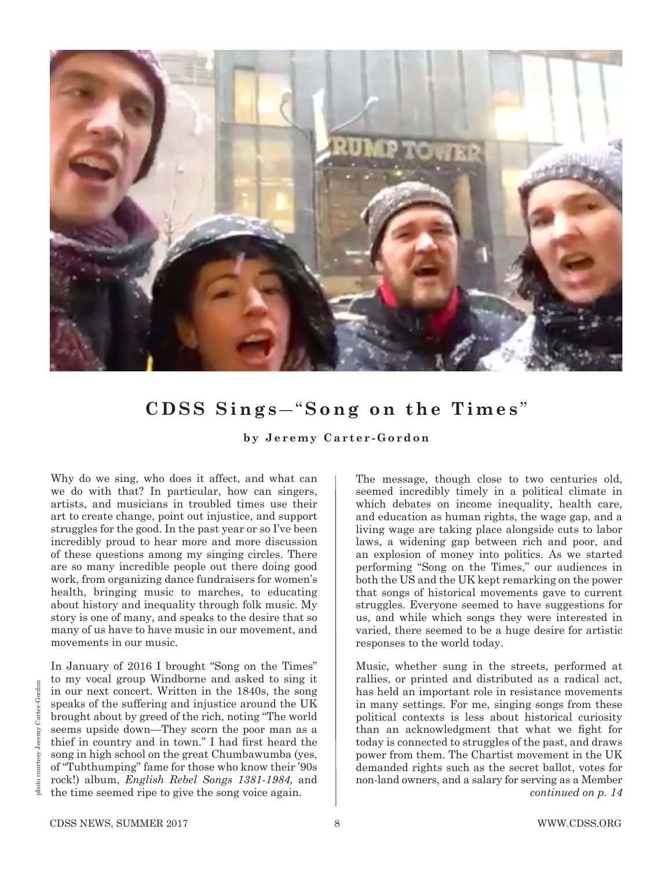

## **CDSS Sings** *―* "**Song on the Times** "

**by Jeremy Carter-Gordon**

Why do we sing, who does it affect, and what can we do with that? In particular, how can singers, artists, and musicians in troubled times use their art to create change, point out injustice, and support struggles for the good. In the past year or so I've been incredibly proud to hear more and more discussion of these questions among my singing circles. There are so many incredible people out there doing good work, from organizing dance fundraisers for women's health, bringing music to marches, to educating about history and inequality through folk music. My story is one of many, and speaks to the desire that so many of us have to have music in our movement, and movements in our music.

In January of 2016 I brought "Song on the Times" to my vocal group Windborne and asked to sing it in our next concert. Written in the 1840s, the song speaks of the suffering and injustice around the UK brought about by greed of the rich, noting "The world seems upside down*—*They scorn the poor man as a thief in country and in town." I had first heard the song in high school on the great Chumbawumba (yes, of "Tubthumping" fame for those who know their '90s rock!) album, *English Rebel Songs 1381-1984,* and the time seemed ripe to give the song voice again.

The message, though close to two centuries old, seemed incredibly timely in a political climate in which debates on income inequality, health care, and education as human rights, the wage gap, and a living wage are taking place alongside cuts to labor laws, a widening gap between rich and poor, and an explosion of money into politics. As we started performing "Song on the Times," our audiences in both the US and the UK kept remarking on the power that songs of historical movements gave to current struggles. Everyone seemed to have suggestions for us, and while which songs they were interested in varied, there seemed to be a huge desire for artistic responses to the world today.

Music, whether sung in the streets, performed at rallies, or printed and distributed as a radical act, has held an important role in resistance movements in many settings. For me, singing songs from these political contexts is less about historical curiosity than an acknowledgment that what we fight for today is connected to struggles of the past, and draws power from them. The Chartist movement in the UK demanded rights such as the secret ballot, votes for non-land owners, and a salary for serving as a Member *continued on p. 14*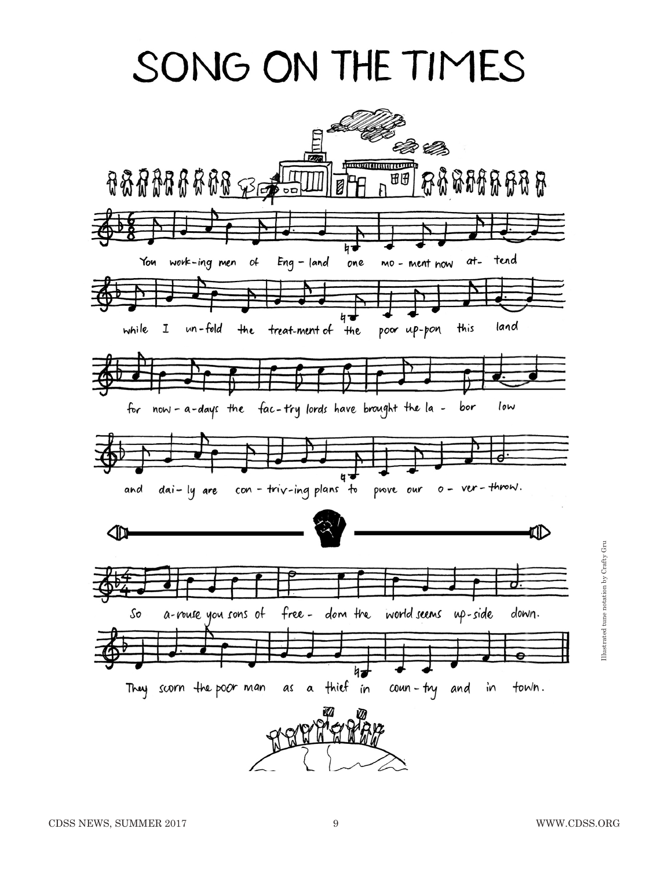